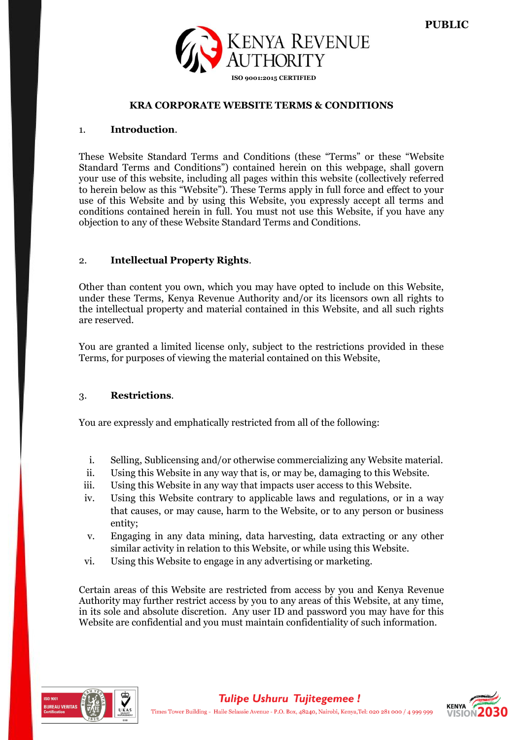

# **KRA CORPORATE WEBSITE TERMS & CONDITIONS**

#### 1. **Introduction**.

These Website Standard Terms and Conditions (these "Terms" or these "Website Standard Terms and Conditions") contained herein on this webpage, shall govern your use of this website, including all pages within this website (collectively referred to herein below as this "Website"). These Terms apply in full force and effect to your use of this Website and by using this Website, you expressly accept all terms and conditions contained herein in full. You must not use this Website, if you have any objection to any of these Website Standard Terms and Conditions.

## 2. **Intellectual Property Rights**.

Other than content you own, which you may have opted to include on this Website, under these Terms, Kenya Revenue Authority and/or its licensors own all rights to the intellectual property and material contained in this Website, and all such rights are reserved.

You are granted a limited license only, subject to the restrictions provided in these Terms, for purposes of viewing the material contained on this Website,

#### 3. **Restrictions**.

You are expressly and emphatically restricted from all of the following:

- i. Selling, Sublicensing and/or otherwise commercializing any Website material.
- ii. Using this Website in any way that is, or may be, damaging to this Website.
- iii. Using this Website in any way that impacts user access to this Website.
- iv. Using this Website contrary to applicable laws and regulations, or in a way that causes, or may cause, harm to the Website, or to any person or business entity;
- v. Engaging in any data mining, data harvesting, data extracting or any other similar activity in relation to this Website, or while using this Website.
- vi. Using this Website to engage in any advertising or marketing.

Certain areas of this Website are restricted from access by you and Kenya Revenue Authority may further restrict access by you to any areas of this Website, at any time, in its sole and absolute discretion. Any user ID and password you may have for this Website are confidential and you must maintain confidentiality of such information.



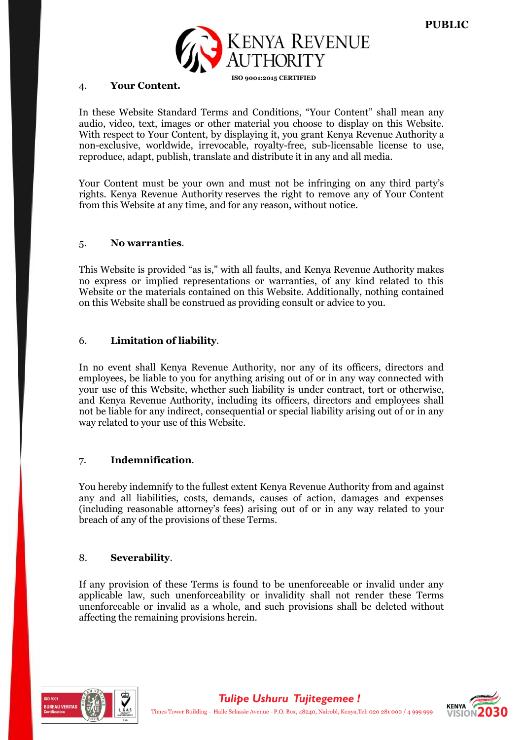

# 4. **Your Content.**

In these Website Standard Terms and Conditions, "Your Content" shall mean any audio, video, text, images or other material you choose to display on this Website. With respect to Your Content, by displaying it, you grant Kenya Revenue Authority a non-exclusive, worldwide, irrevocable, royalty-free, sub-licensable license to use, reproduce, adapt, publish, translate and distribute it in any and all media.

Your Content must be your own and must not be infringing on any third party's rights. Kenya Revenue Authority reserves the right to remove any of Your Content from this Website at any time, and for any reason, without notice.

# 5. **No warranties**.

This Website is provided "as is," with all faults, and Kenya Revenue Authority makes no express or implied representations or warranties, of any kind related to this Website or the materials contained on this Website. Additionally, nothing contained on this Website shall be construed as providing consult or advice to you.

# 6. **Limitation of liability**.

In no event shall Kenya Revenue Authority, nor any of its officers, directors and employees, be liable to you for anything arising out of or in any way connected with your use of this Website, whether such liability is under contract, tort or otherwise, and Kenya Revenue Authority, including its officers, directors and employees shall not be liable for any indirect, consequential or special liability arising out of or in any way related to your use of this Website.

# 7. **Indemnification**.

You hereby indemnify to the fullest extent Kenya Revenue Authority from and against any and all liabilities, costs, demands, causes of action, damages and expenses (including reasonable attorney's fees) arising out of or in any way related to your breach of any of the provisions of these Terms.

# 8. **Severability**.

If any provision of these Terms is found to be unenforceable or invalid under any applicable law, such unenforceability or invalidity shall not render these Terms unenforceable or invalid as a whole, and such provisions shall be deleted without affecting the remaining provisions herein.